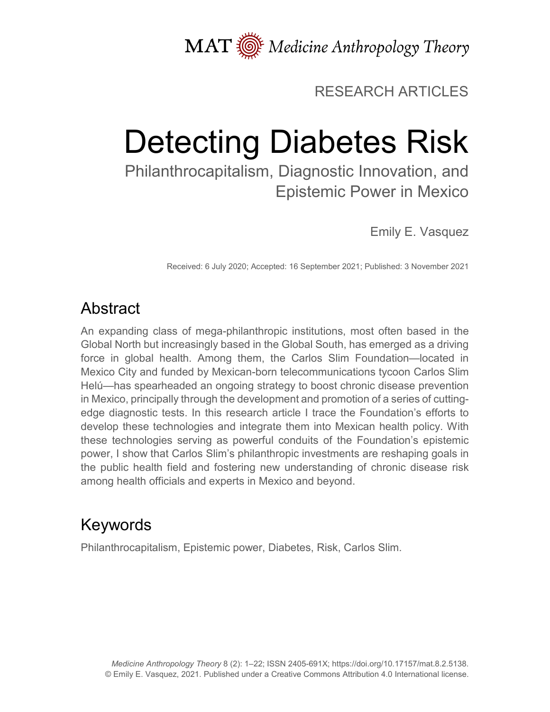MAT  $\overline{\text{W}}$  Medicine Anthropology Theory

## RESEARCH ARTICLES

# Detecting Diabetes Risk

Philanthrocapitalism, Diagnostic Innovation, and Epistemic Power in Mexico

Emily E. Vasquez

Received: 6 July 2020; Accepted: 16 September 2021; Published: 3 November 2021

# Abstract

An expanding class of mega-philanthropic institutions, most often based in the Global North but increasingly based in the Global South, has emerged as a driving force in global health. Among them, the Carlos Slim Foundation—located in Mexico City and funded by Mexican-born telecommunications tycoon Carlos Slim Helú—has spearheaded an ongoing strategy to boost chronic disease prevention in Mexico, principally through the development and promotion of a series of cuttingedge diagnostic tests. In this research article I trace the Foundation's efforts to develop these technologies and integrate them into Mexican health policy. With these technologies serving as powerful conduits of the Foundation's epistemic power, I show that Carlos Slim's philanthropic investments are reshaping goals in the public health field and fostering new understanding of chronic disease risk among health officials and experts in Mexico and beyond.

# Keywords

Philanthrocapitalism, Epistemic power, Diabetes, Risk, Carlos Slim.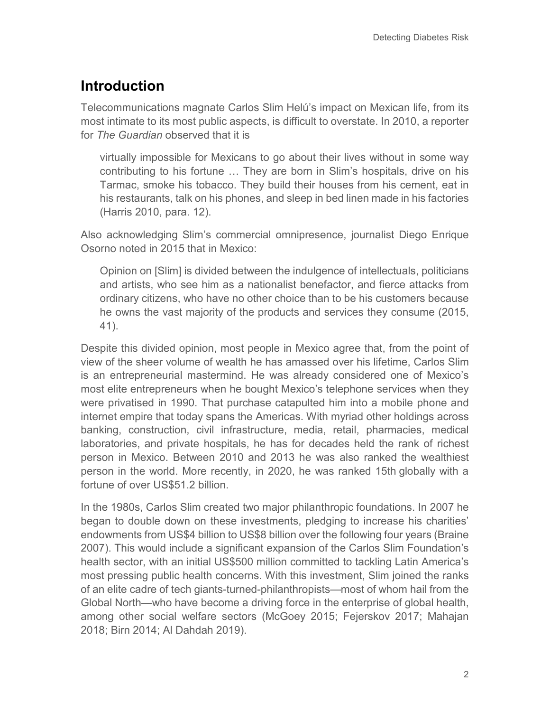## **Introduction**

Telecommunications magnate Carlos Slim Helú's impact on Mexican life, from its most intimate to its most public aspects, is difficult to overstate. In 2010, a reporter for *The Guardian* observed that it is

virtually impossible for Mexicans to go about their lives without in some way contributing to his fortune … They are born in Slim's hospitals, drive on his Tarmac, smoke his tobacco. They build their houses from his cement, eat in his restaurants, talk on his phones, and sleep in bed linen made in his factories (Harris 2010, para. 12).

Also acknowledging Slim's commercial omnipresence, journalist Diego Enrique Osorno noted in 2015 that in Mexico:

Opinion on [Slim] is divided between the indulgence of intellectuals, politicians and artists, who see him as a nationalist benefactor, and fierce attacks from ordinary citizens, who have no other choice than to be his customers because he owns the vast majority of the products and services they consume (2015, 41).

Despite this divided opinion, most people in Mexico agree that, from the point of view of the sheer volume of wealth he has amassed over his lifetime, Carlos Slim is an entrepreneurial mastermind. He was already considered one of Mexico's most elite entrepreneurs when he bought Mexico's telephone services when they were privatised in 1990. That purchase catapulted him into a mobile phone and internet empire that today spans the Americas. With myriad other holdings across banking, construction, civil infrastructure, media, retail, pharmacies, medical laboratories, and private hospitals, he has for decades held the rank of richest person in Mexico. Between 2010 and 2013 he was also ranked the wealthiest person in the world. More recently, in 2020, he was ranked 15th globally with a fortune of over US\$51.2 billion.

In the 1980s, Carlos Slim created two major philanthropic foundations. In 2007 he began to double down on these investments, pledging to increase his charities' endowments from US\$4 billion to US\$8 billion over the following four years (Braine 2007). This would include a significant expansion of the Carlos Slim Foundation's health sector, with an initial US\$500 million committed to tackling Latin America's most pressing public health concerns. With this investment, Slim joined the ranks of an elite cadre of tech giants-turned-philanthropists—most of whom hail from the Global North—who have become a driving force in the enterprise of global health, among other social welfare sectors (McGoey 2015; Fejerskov 2017; Mahajan 2018; Birn 2014; Al Dahdah 2019).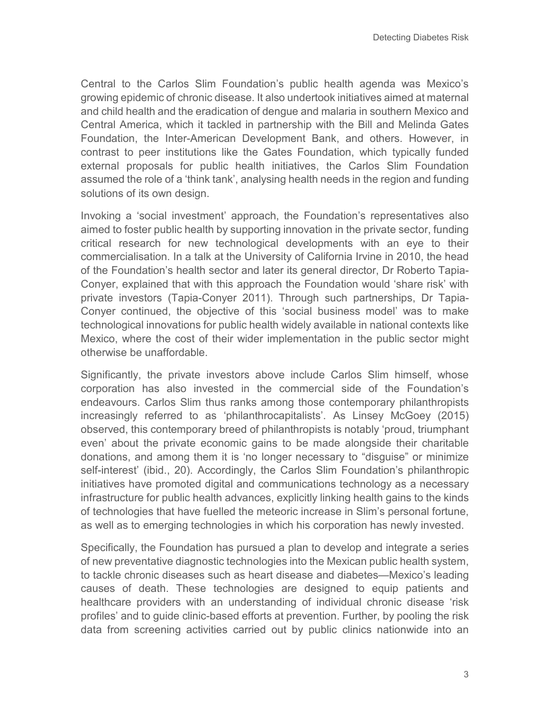Central to the Carlos Slim Foundation's public health agenda was Mexico's growing epidemic of chronic disease. It also undertook initiatives aimed at maternal and child health and the eradication of dengue and malaria in southern Mexico and Central America, which it tackled in partnership with the Bill and Melinda Gates Foundation, the Inter-American Development Bank, and others. However, in contrast to peer institutions like the Gates Foundation, which typically funded external proposals for public health initiatives, the Carlos Slim Foundation assumed the role of a 'think tank', analysing health needs in the region and funding solutions of its own design.

Invoking a 'social investment' approach, the Foundation's representatives also aimed to foster public health by supporting innovation in the private sector, funding critical research for new technological developments with an eye to their commercialisation. In a talk at the University of California Irvine in 2010, the head of the Foundation's health sector and later its general director, Dr Roberto Tapia-Conyer, explained that with this approach the Foundation would 'share risk' with private investors (Tapia-Conyer 2011). Through such partnerships, Dr Tapia-Conyer continued, the objective of this 'social business model' was to make technological innovations for public health widely available in national contexts like Mexico, where the cost of their wider implementation in the public sector might otherwise be unaffordable.

Significantly, the private investors above include Carlos Slim himself, whose corporation has also invested in the commercial side of the Foundation's endeavours. Carlos Slim thus ranks among those contemporary philanthropists increasingly referred to as 'philanthrocapitalists'. As Linsey McGoey (2015) observed, this contemporary breed of philanthropists is notably 'proud, triumphant even' about the private economic gains to be made alongside their charitable donations, and among them it is 'no longer necessary to "disguise" or minimize self-interest' (ibid., 20). Accordingly, the Carlos Slim Foundation's philanthropic initiatives have promoted digital and communications technology as a necessary infrastructure for public health advances, explicitly linking health gains to the kinds of technologies that have fuelled the meteoric increase in Slim's personal fortune, as well as to emerging technologies in which his corporation has newly invested.

Specifically, the Foundation has pursued a plan to develop and integrate a series of new preventative diagnostic technologies into the Mexican public health system, to tackle chronic diseases such as heart disease and diabetes—Mexico's leading causes of death. These technologies are designed to equip patients and healthcare providers with an understanding of individual chronic disease 'risk profiles' and to guide clinic-based efforts at prevention. Further, by pooling the risk data from screening activities carried out by public clinics nationwide into an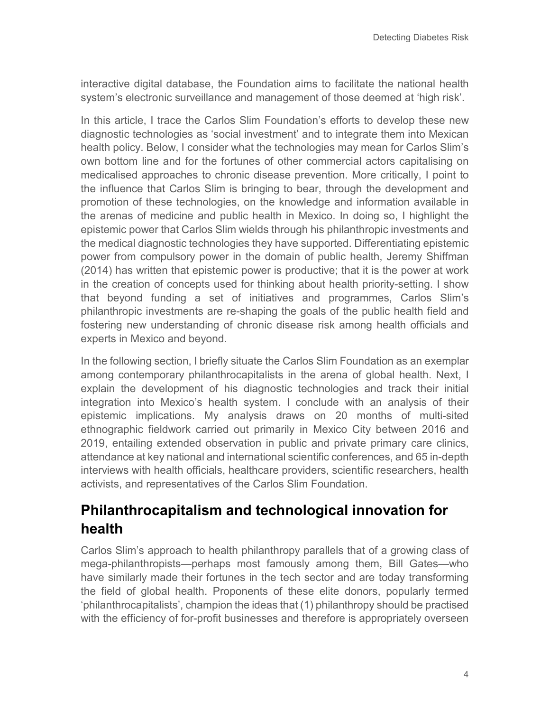interactive digital database, the Foundation aims to facilitate the national health system's electronic surveillance and management of those deemed at 'high risk'.

In this article, I trace the Carlos Slim Foundation's efforts to develop these new diagnostic technologies as 'social investment' and to integrate them into Mexican health policy. Below, I consider what the technologies may mean for Carlos Slim's own bottom line and for the fortunes of other commercial actors capitalising on medicalised approaches to chronic disease prevention. More critically, I point to the influence that Carlos Slim is bringing to bear, through the development and promotion of these technologies, on the knowledge and information available in the arenas of medicine and public health in Mexico. In doing so, I highlight the epistemic power that Carlos Slim wields through his philanthropic investments and the medical diagnostic technologies they have supported. Differentiating epistemic power from compulsory power in the domain of public health, Jeremy Shiffman (2014) has written that epistemic power is productive; that it is the power at work in the creation of concepts used for thinking about health priority-setting. I show that beyond funding a set of initiatives and programmes, Carlos Slim's philanthropic investments are re-shaping the goals of the public health field and fostering new understanding of chronic disease risk among health officials and experts in Mexico and beyond.

In the following section, I briefly situate the Carlos Slim Foundation as an exemplar among contemporary philanthrocapitalists in the arena of global health. Next, I explain the development of his diagnostic technologies and track their initial integration into Mexico's health system. I conclude with an analysis of their epistemic implications. My analysis draws on 20 months of multi-sited ethnographic fieldwork carried out primarily in Mexico City between 2016 and 2019, entailing extended observation in public and private primary care clinics, attendance at key national and international scientific conferences, and 65 in-depth interviews with health officials, healthcare providers, scientific researchers, health activists, and representatives of the Carlos Slim Foundation.

## **Philanthrocapitalism and technological innovation for health**

Carlos Slim's approach to health philanthropy parallels that of a growing class of mega-philanthropists—perhaps most famously among them, Bill Gates—who have similarly made their fortunes in the tech sector and are today transforming the field of global health. Proponents of these elite donors, popularly termed 'philanthrocapitalists', champion the ideas that (1) philanthropy should be practised with the efficiency of for-profit businesses and therefore is appropriately overseen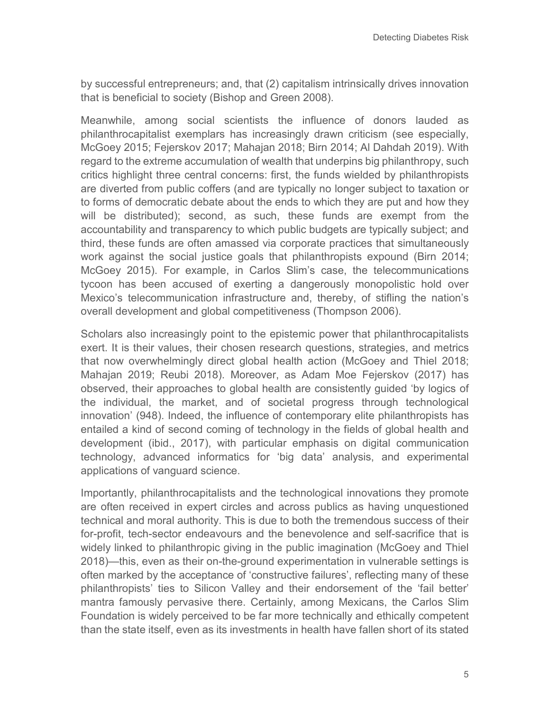by successful entrepreneurs; and, that (2) capitalism intrinsically drives innovation that is beneficial to society (Bishop and Green 2008).

Meanwhile, among social scientists the influence of donors lauded as philanthrocapitalist exemplars has increasingly drawn criticism (see especially, McGoey 2015; Fejerskov 2017; Mahajan 2018; Birn 2014; Al Dahdah 2019). With regard to the extreme accumulation of wealth that underpins big philanthropy, such critics highlight three central concerns: first, the funds wielded by philanthropists are diverted from public coffers (and are typically no longer subject to taxation or to forms of democratic debate about the ends to which they are put and how they will be distributed); second, as such, these funds are exempt from the accountability and transparency to which public budgets are typically subject; and third, these funds are often amassed via corporate practices that simultaneously work against the social justice goals that philanthropists expound (Birn 2014; McGoey 2015). For example, in Carlos Slim's case, the telecommunications tycoon has been accused of exerting a dangerously monopolistic hold over Mexico's telecommunication infrastructure and, thereby, of stifling the nation's overall development and global competitiveness (Thompson 2006).

Scholars also increasingly point to the epistemic power that philanthrocapitalists exert. It is their values, their chosen research questions, strategies, and metrics that now overwhelmingly direct global health action (McGoey and Thiel 2018; Mahajan 2019; Reubi 2018). Moreover, as Adam Moe Fejerskov (2017) has observed, their approaches to global health are consistently guided 'by logics of the individual, the market, and of societal progress through technological innovation' (948). Indeed, the influence of contemporary elite philanthropists has entailed a kind of second coming of technology in the fields of global health and development (ibid., 2017), with particular emphasis on digital communication technology, advanced informatics for 'big data' analysis, and experimental applications of vanguard science.

Importantly, philanthrocapitalists and the technological innovations they promote are often received in expert circles and across publics as having unquestioned technical and moral authority. This is due to both the tremendous success of their for-profit, tech-sector endeavours and the benevolence and self-sacrifice that is widely linked to philanthropic giving in the public imagination (McGoey and Thiel 2018)—this, even as their on-the-ground experimentation in vulnerable settings is often marked by the acceptance of 'constructive failures', reflecting many of these philanthropists' ties to Silicon Valley and their endorsement of the 'fail better' mantra famously pervasive there. Certainly, among Mexicans, the Carlos Slim Foundation is widely perceived to be far more technically and ethically competent than the state itself, even as its investments in health have fallen short of its stated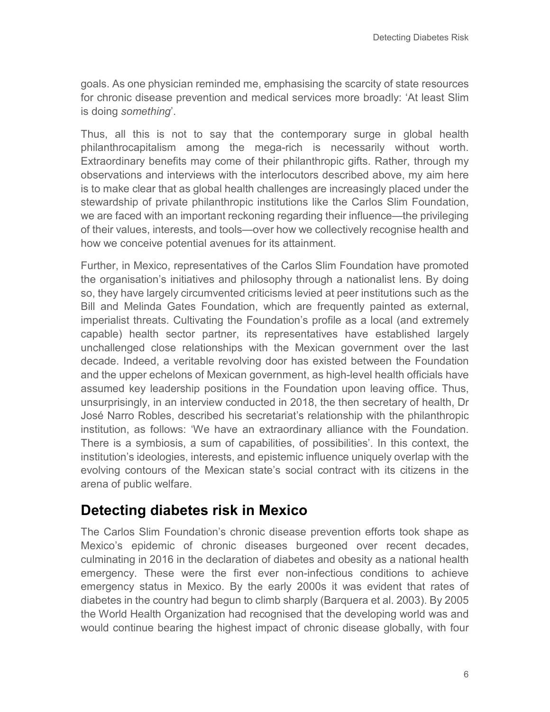goals. As one physician reminded me, emphasising the scarcity of state resources for chronic disease prevention and medical services more broadly: 'At least Slim is doing *something*'.

Thus, all this is not to say that the contemporary surge in global health philanthrocapitalism among the mega-rich is necessarily without worth. Extraordinary benefits may come of their philanthropic gifts. Rather, through my observations and interviews with the interlocutors described above, my aim here is to make clear that as global health challenges are increasingly placed under the stewardship of private philanthropic institutions like the Carlos Slim Foundation, we are faced with an important reckoning regarding their influence—the privileging of their values, interests, and tools—over how we collectively recognise health and how we conceive potential avenues for its attainment.

Further, in Mexico, representatives of the Carlos Slim Foundation have promoted the organisation's initiatives and philosophy through a nationalist lens. By doing so, they have largely circumvented criticisms levied at peer institutions such as the Bill and Melinda Gates Foundation, which are frequently painted as external, imperialist threats. Cultivating the Foundation's profile as a local (and extremely capable) health sector partner, its representatives have established largely unchallenged close relationships with the Mexican government over the last decade. Indeed, a veritable revolving door has existed between the Foundation and the upper echelons of Mexican government, as high-level health officials have assumed key leadership positions in the Foundation upon leaving office. Thus, unsurprisingly, in an interview conducted in 2018, the then secretary of health, Dr José Narro Robles, described his secretariat's relationship with the philanthropic institution, as follows: 'We have an extraordinary alliance with the Foundation. There is a symbiosis, a sum of capabilities, of possibilities'. In this context, the institution's ideologies, interests, and epistemic influence uniquely overlap with the evolving contours of the Mexican state's social contract with its citizens in the arena of public welfare.

## **Detecting diabetes risk in Mexico**

The Carlos Slim Foundation's chronic disease prevention efforts took shape as Mexico's epidemic of chronic diseases burgeoned over recent decades, culminating in 2016 in the declaration of diabetes and obesity as a national health emergency. These were the first ever non-infectious conditions to achieve emergency status in Mexico. By the early 2000s it was evident that rates of diabetes in the country had begun to climb sharply (Barquera et al. 2003). By 2005 the World Health Organization had recognised that the developing world was and would continue bearing the highest impact of chronic disease globally, with four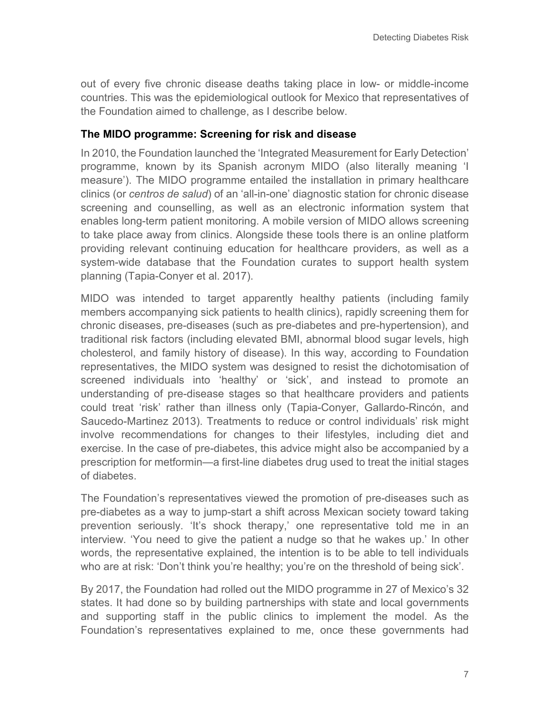out of every five chronic disease deaths taking place in low- or middle-income countries. This was the epidemiological outlook for Mexico that representatives of the Foundation aimed to challenge, as I describe below.

#### **The MIDO programme: Screening for risk and disease**

In 2010, the Foundation launched the 'Integrated Measurement for Early Detection' programme, known by its Spanish acronym MIDO (also literally meaning 'I measure'). The MIDO programme entailed the installation in primary healthcare clinics (or *centros de salud*) of an 'all-in-one' diagnostic station for chronic disease screening and counselling, as well as an electronic information system that enables long-term patient monitoring. A mobile version of MIDO allows screening to take place away from clinics. Alongside these tools there is an online platform providing relevant continuing education for healthcare providers, as well as a system-wide database that the Foundation curates to support health system planning (Tapia-Conyer et al. 2017).

MIDO was intended to target apparently healthy patients (including family members accompanying sick patients to health clinics), rapidly screening them for chronic diseases, pre-diseases (such as pre-diabetes and pre-hypertension), and traditional risk factors (including elevated BMI, abnormal blood sugar levels, high cholesterol, and family history of disease). In this way, according to Foundation representatives, the MIDO system was designed to resist the dichotomisation of screened individuals into 'healthy' or 'sick', and instead to promote an understanding of pre-disease stages so that healthcare providers and patients could treat 'risk' rather than illness only (Tapia-Conyer, Gallardo-Rincón, and Saucedo-Martinez 2013). Treatments to reduce or control individuals' risk might involve recommendations for changes to their lifestyles, including diet and exercise. In the case of pre-diabetes, this advice might also be accompanied by a prescription for metformin—a first-line diabetes drug used to treat the initial stages of diabetes.

The Foundation's representatives viewed the promotion of pre-diseases such as pre-diabetes as a way to jump-start a shift across Mexican society toward taking prevention seriously. 'It's shock therapy,' one representative told me in an interview. 'You need to give the patient a nudge so that he wakes up.' In other words, the representative explained, the intention is to be able to tell individuals who are at risk: 'Don't think you're healthy; you're on the threshold of being sick'.

By 2017, the Foundation had rolled out the MIDO programme in 27 of Mexico's 32 states. It had done so by building partnerships with state and local governments and supporting staff in the public clinics to implement the model. As the Foundation's representatives explained to me, once these governments had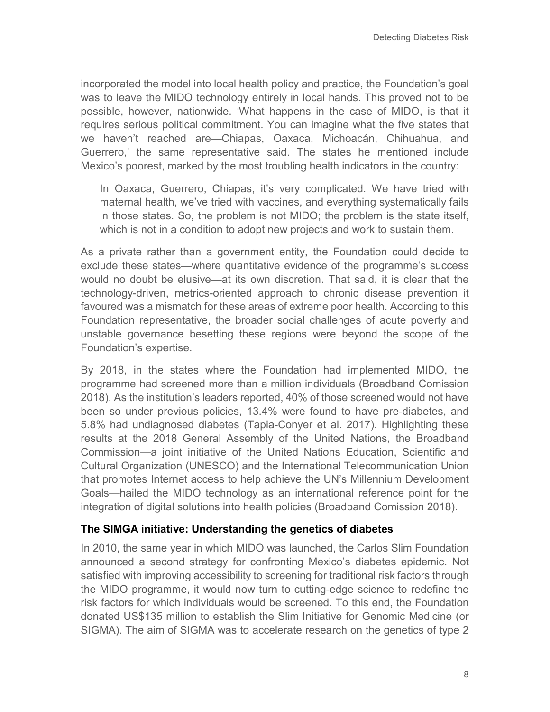incorporated the model into local health policy and practice, the Foundation's goal was to leave the MIDO technology entirely in local hands. This proved not to be possible, however, nationwide. 'What happens in the case of MIDO, is that it requires serious political commitment. You can imagine what the five states that we haven't reached are—Chiapas, Oaxaca, Michoacán, Chihuahua, and Guerrero,' the same representative said. The states he mentioned include Mexico's poorest, marked by the most troubling health indicators in the country:

In Oaxaca, Guerrero, Chiapas, it's very complicated. We have tried with maternal health, we've tried with vaccines, and everything systematically fails in those states. So, the problem is not MIDO; the problem is the state itself, which is not in a condition to adopt new projects and work to sustain them.

As a private rather than a government entity, the Foundation could decide to exclude these states—where quantitative evidence of the programme's success would no doubt be elusive—at its own discretion. That said, it is clear that the technology-driven, metrics-oriented approach to chronic disease prevention it favoured was a mismatch for these areas of extreme poor health. According to this Foundation representative, the broader social challenges of acute poverty and unstable governance besetting these regions were beyond the scope of the Foundation's expertise.

By 2018, in the states where the Foundation had implemented MIDO, the programme had screened more than a million individuals (Broadband Comission 2018). As the institution's leaders reported, 40% of those screened would not have been so under previous policies, 13.4% were found to have pre-diabetes, and 5.8% had undiagnosed diabetes (Tapia-Conyer et al. 2017). Highlighting these results at the 2018 General Assembly of the United Nations, the Broadband Commission—a joint initiative of the United Nations Education, Scientific and Cultural Organization (UNESCO) and the International Telecommunication Union that promotes Internet access to help achieve the UN's Millennium Development Goals—hailed the MIDO technology as an international reference point for the integration of digital solutions into health policies (Broadband Comission 2018).

#### **The SIMGA initiative: Understanding the genetics of diabetes**

In 2010, the same year in which MIDO was launched, the Carlos Slim Foundation announced a second strategy for confronting Mexico's diabetes epidemic. Not satisfied with improving accessibility to screening for traditional risk factors through the MIDO programme, it would now turn to cutting-edge science to redefine the risk factors for which individuals would be screened. To this end, the Foundation donated US\$135 million to establish the Slim Initiative for Genomic Medicine (or SIGMA). The aim of SIGMA was to accelerate research on the genetics of type 2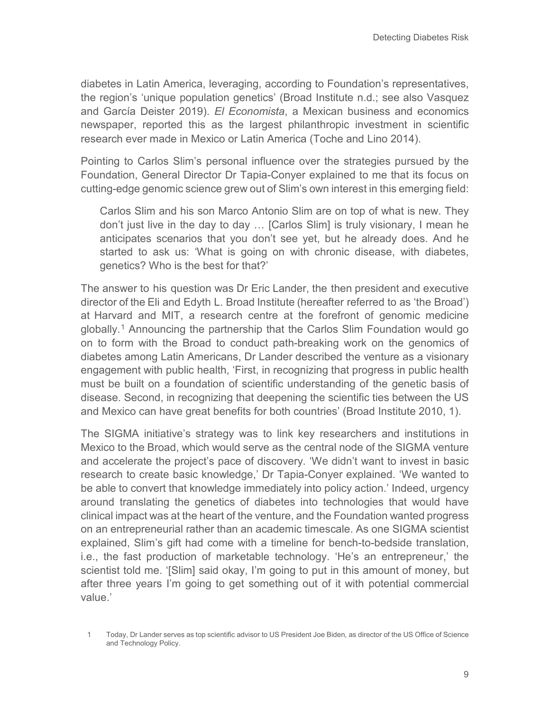diabetes in Latin America, leveraging, according to Foundation's representatives, the region's 'unique population genetics' (Broad Institute n.d.; see also Vasquez and García Deister 2019). *El Economista*, a Mexican business and economics newspaper, reported this as the largest philanthropic investment in scientific research ever made in Mexico or Latin America (Toche and Lino 2014).

Pointing to Carlos Slim's personal influence over the strategies pursued by the Foundation, General Director Dr Tapia-Conyer explained to me that its focus on cutting-edge genomic science grew out of Slim's own interest in this emerging field:

Carlos Slim and his son Marco Antonio Slim are on top of what is new. They don't just live in the day to day … [Carlos Slim] is truly visionary, I mean he anticipates scenarios that you don't see yet, but he already does. And he started to ask us: 'What is going on with chronic disease, with diabetes, genetics? Who is the best for that?'

The answer to his question was Dr Eric Lander, the then president and executive director of the Eli and Edyth L. Broad Institute (hereafter referred to as 'the Broad') at Harvard and MIT, a research centre at the forefront of genomic medicine globally.[1](#page-8-0) Announcing the partnership that the Carlos Slim Foundation would go on to form with the Broad to conduct path-breaking work on the genomics of diabetes among Latin Americans, Dr Lander described the venture as a visionary engagement with public health, 'First, in recognizing that progress in public health must be built on a foundation of scientific understanding of the genetic basis of disease. Second, in recognizing that deepening the scientific ties between the US and Mexico can have great benefits for both countries' (Broad Institute 2010, 1).

The SIGMA initiative's strategy was to link key researchers and institutions in Mexico to the Broad, which would serve as the central node of the SIGMA venture and accelerate the project's pace of discovery. 'We didn't want to invest in basic research to create basic knowledge,' Dr Tapia-Conyer explained. 'We wanted to be able to convert that knowledge immediately into policy action.' Indeed, urgency around translating the genetics of diabetes into technologies that would have clinical impact was at the heart of the venture, and the Foundation wanted progress on an entrepreneurial rather than an academic timescale. As one SIGMA scientist explained, Slim's gift had come with a timeline for bench-to-bedside translation, i.e., the fast production of marketable technology. 'He's an entrepreneur,' the scientist told me. '[Slim] said okay, I'm going to put in this amount of money, but after three years I'm going to get something out of it with potential commercial value.'

<span id="page-8-0"></span><sup>1</sup> Today, Dr Lander serves as top scientific advisor to US President Joe Biden, as director of the US Office of Science and Technology Policy.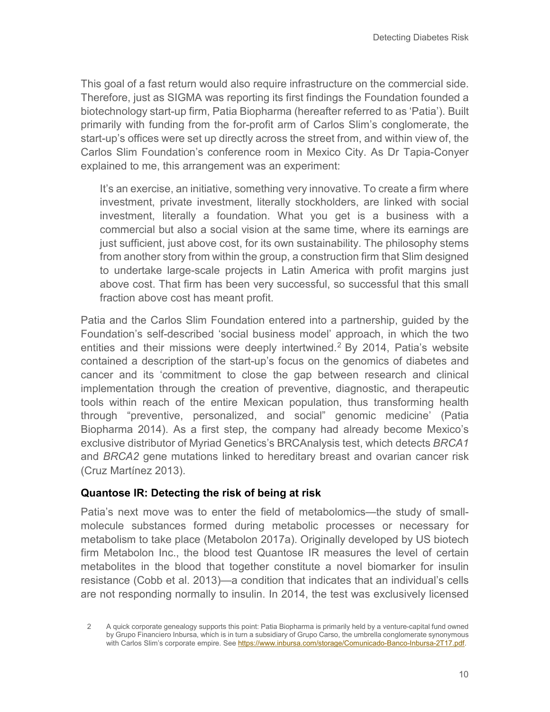This goal of a fast return would also require infrastructure on the commercial side. Therefore, just as SIGMA was reporting its first findings the Foundation founded a biotechnology start-up firm, Patia Biopharma (hereafter referred to as 'Patia'). Built primarily with funding from the for-profit arm of Carlos Slim's conglomerate, the start-up's offices were set up directly across the street from, and within view of, the Carlos Slim Foundation's conference room in Mexico City. As Dr Tapia-Conyer explained to me, this arrangement was an experiment:

It's an exercise, an initiative, something very innovative. To create a firm where investment, private investment, literally stockholders, are linked with social investment, literally a foundation. What you get is a business with a commercial but also a social vision at the same time, where its earnings are just sufficient, just above cost, for its own sustainability. The philosophy stems from another story from within the group, a construction firm that Slim designed to undertake large-scale projects in Latin America with profit margins just above cost. That firm has been very successful, so successful that this small fraction above cost has meant profit.

Patia and the Carlos Slim Foundation entered into a partnership, guided by the Foundation's self-described 'social business model' approach, in which the two entities and their missions were deeply intertwined.<sup>[2](#page-9-0)</sup> By 2014, Patia's website contained a description of the start-up's focus on the genomics of diabetes and cancer and its 'commitment to close the gap between research and clinical implementation through the creation of preventive, diagnostic, and therapeutic tools within reach of the entire Mexican population, thus transforming health through "preventive, personalized, and social" genomic medicine' (Patia Biopharma 2014). As a first step, the company had already become Mexico's exclusive distributor of Myriad Genetics's BRCAnalysis test, which detects *BRCA1* and *BRCA2* gene mutations linked to hereditary breast and ovarian cancer risk (Cruz Martínez 2013).

#### **Quantose IR: Detecting the risk of being at risk**

Patia's next move was to enter the field of metabolomics—the study of smallmolecule substances formed during metabolic processes or necessary for metabolism to take place (Metabolon 2017a). Originally developed by US biotech firm Metabolon Inc., the blood test Quantose IR measures the level of certain metabolites in the blood that together constitute a novel biomarker for insulin resistance (Cobb et al. 2013)—a condition that indicates that an individual's cells are not responding normally to insulin. In 2014, the test was exclusively licensed

<span id="page-9-0"></span><sup>2</sup> A quick corporate genealogy supports this point: Patia Biopharma is primarily held by a venture-capital fund owned by Grupo Financiero Inbursa, which is in turn a subsidiary of Grupo Carso, the umbrella conglomerate synonymous with Carlos Slim's corporate empire. See [https://www.inbursa.com/storage/Comunicado-Banco-Inbursa-2T17.pdf.](https://www.inbursa.com/storage/Comunicado-Banco-Inbursa-2T17.pdf)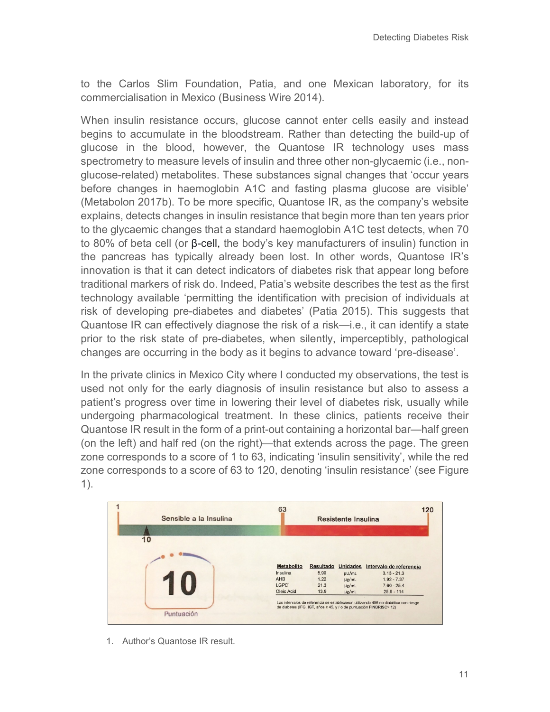to the Carlos Slim Foundation, Patia, and one Mexican laboratory, for its commercialisation in Mexico (Business Wire 2014).

When insulin resistance occurs, glucose cannot enter cells easily and instead begins to accumulate in the bloodstream. Rather than detecting the build-up of glucose in the blood, however, the Quantose IR technology uses mass spectrometry to measure levels of insulin and three other non-glycaemic (i.e., nonglucose-related) metabolites. These substances signal changes that 'occur years before changes in haemoglobin A1C and fasting plasma glucose are visible' (Metabolon 2017b). To be more specific, Quantose IR, as the company's website explains, detects changes in insulin resistance that begin more than ten years prior to the glycaemic changes that a standard haemoglobin A1C test detects, when 70 to 80% of beta cell (or β-cell, the body's key manufacturers of insulin) function in the pancreas has typically already been lost. In other words, Quantose IR's innovation is that it can detect indicators of diabetes risk that appear long before traditional markers of risk do. Indeed, Patia's website describes the test as the first technology available 'permitting the identification with precision of individuals at risk of developing pre-diabetes and diabetes' (Patia 2015). This suggests that Quantose IR can effectively diagnose the risk of a risk—i.e., it can identify a state prior to the risk state of pre-diabetes, when silently, imperceptibly, pathological changes are occurring in the body as it begins to advance toward 'pre-disease'.

In the private clinics in Mexico City where I conducted my observations, the test is used not only for the early diagnosis of insulin resistance but also to assess a patient's progress over time in lowering their level of diabetes risk, usually while undergoing pharmacological treatment. In these clinics, patients receive their Quantose IR result in the form of a print-out containing a horizontal bar—half green (on the left) and half red (on the right)—that extends across the page. The green zone corresponds to a score of 1 to 63, indicating 'insulin sensitivity', while the red zone corresponds to a score of 63 to 120, denoting 'insulin resistance' (see Figure 1).



1. Author's Quantose IR result.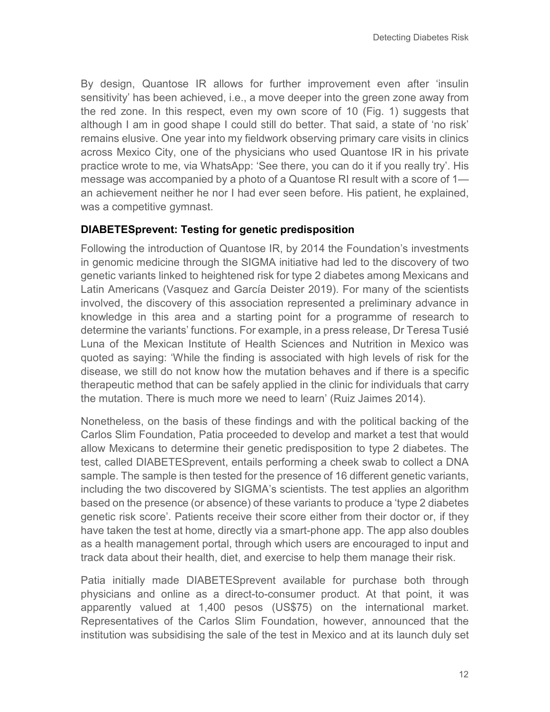By design, Quantose IR allows for further improvement even after 'insulin sensitivity' has been achieved, i.e., a move deeper into the green zone away from the red zone. In this respect, even my own score of 10 (Fig. 1) suggests that although I am in good shape I could still do better. That said, a state of 'no risk' remains elusive. One year into my fieldwork observing primary care visits in clinics across Mexico City, one of the physicians who used Quantose IR in his private practice wrote to me, via WhatsApp: 'See there, you can do it if you really try'. His message was accompanied by a photo of a Quantose RI result with a score of 1 an achievement neither he nor I had ever seen before. His patient, he explained, was a competitive gymnast.

#### **DIABETESprevent: Testing for genetic predisposition**

Following the introduction of Quantose IR, by 2014 the Foundation's investments in genomic medicine through the SIGMA initiative had led to the discovery of two genetic variants linked to heightened risk for type 2 diabetes among Mexicans and Latin Americans (Vasquez and García Deister 2019). For many of the scientists involved, the discovery of this association represented a preliminary advance in knowledge in this area and a starting point for a programme of research to determine the variants' functions. For example, in a press release, Dr Teresa Tusié Luna of the Mexican Institute of Health Sciences and Nutrition in Mexico was quoted as saying: 'While the finding is associated with high levels of risk for the disease, we still do not know how the mutation behaves and if there is a specific therapeutic method that can be safely applied in the clinic for individuals that carry the mutation. There is much more we need to learn' (Ruiz Jaimes 2014).

Nonetheless, on the basis of these findings and with the political backing of the Carlos Slim Foundation, Patia proceeded to develop and market a test that would allow Mexicans to determine their genetic predisposition to type 2 diabetes. The test, called DIABETESprevent, entails performing a cheek swab to collect a DNA sample. The sample is then tested for the presence of 16 different genetic variants, including the two discovered by SIGMA's scientists. The test applies an algorithm based on the presence (or absence) of these variants to produce a 'type 2 diabetes genetic risk score'. Patients receive their score either from their doctor or, if they have taken the test at home, directly via a smart-phone app. The app also doubles as a health management portal, through which users are encouraged to input and track data about their health, diet, and exercise to help them manage their risk.

Patia initially made DIABETESprevent available for purchase both through physicians and online as a direct-to-consumer product. At that point, it was apparently valued at 1,400 pesos (US\$75) on the international market. Representatives of the Carlos Slim Foundation, however, announced that the institution was subsidising the sale of the test in Mexico and at its launch duly set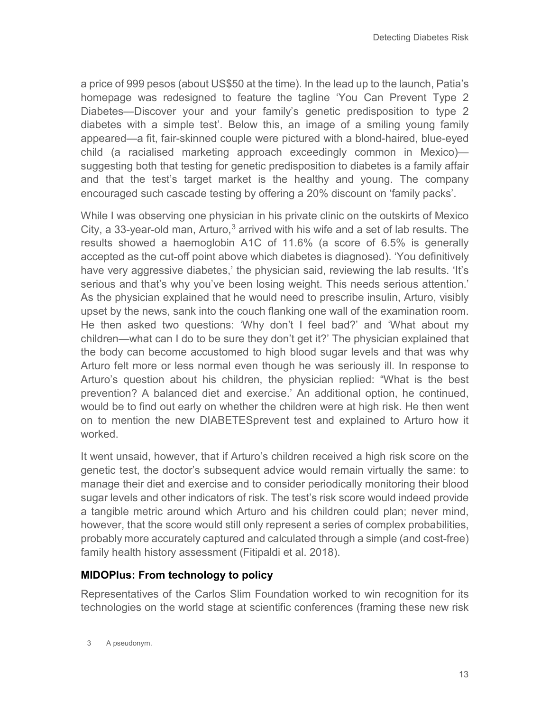a price of 999 pesos (about US\$50 at the time). In the lead up to the launch, Patia's homepage was redesigned to feature the tagline 'You Can Prevent Type 2 Diabetes—Discover your and your family's genetic predisposition to type 2 diabetes with a simple test'. Below this, an image of a smiling young family appeared—a fit, fair-skinned couple were pictured with a blond-haired, blue-eyed child (a racialised marketing approach exceedingly common in Mexico) suggesting both that testing for genetic predisposition to diabetes is a family affair and that the test's target market is the healthy and young. The company encouraged such cascade testing by offering a 20% discount on 'family packs'.

While I was observing one physician in his private clinic on the outskirts of Mexico City, a [3](#page-12-0)3-year-old man, Arturo, $3$  arrived with his wife and a set of lab results. The results showed a haemoglobin A1C of 11.6% (a score of 6.5% is generally accepted as the cut-off point above which diabetes is diagnosed). 'You definitively have very aggressive diabetes,' the physician said, reviewing the lab results. 'It's serious and that's why you've been losing weight. This needs serious attention.' As the physician explained that he would need to prescribe insulin, Arturo, visibly upset by the news, sank into the couch flanking one wall of the examination room. He then asked two questions: 'Why don't I feel bad?' and 'What about my children—what can I do to be sure they don't get it?' The physician explained that the body can become accustomed to high blood sugar levels and that was why Arturo felt more or less normal even though he was seriously ill. In response to Arturo's question about his children, the physician replied: "What is the best prevention? A balanced diet and exercise.' An additional option, he continued, would be to find out early on whether the children were at high risk. He then went on to mention the new DIABETESprevent test and explained to Arturo how it worked.

It went unsaid, however, that if Arturo's children received a high risk score on the genetic test, the doctor's subsequent advice would remain virtually the same: to manage their diet and exercise and to consider periodically monitoring their blood sugar levels and other indicators of risk. The test's risk score would indeed provide a tangible metric around which Arturo and his children could plan; never mind, however, that the score would still only represent a series of complex probabilities, probably more accurately captured and calculated through a simple (and cost-free) family health history assessment (Fitipaldi et al. 2018).

#### **MIDOPlus: From technology to policy**

<span id="page-12-0"></span>Representatives of the Carlos Slim Foundation worked to win recognition for its technologies on the world stage at scientific conferences (framing these new risk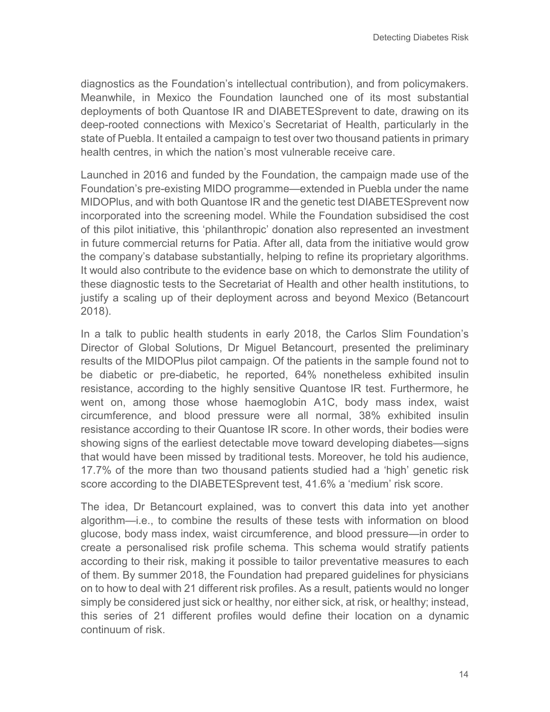diagnostics as the Foundation's intellectual contribution), and from policymakers. Meanwhile, in Mexico the Foundation launched one of its most substantial deployments of both Quantose IR and DIABETESprevent to date, drawing on its deep-rooted connections with Mexico's Secretariat of Health, particularly in the state of Puebla. It entailed a campaign to test over two thousand patients in primary health centres, in which the nation's most vulnerable receive care.

Launched in 2016 and funded by the Foundation, the campaign made use of the Foundation's pre-existing MIDO programme—extended in Puebla under the name MIDOPlus, and with both Quantose IR and the genetic test DIABETESprevent now incorporated into the screening model. While the Foundation subsidised the cost of this pilot initiative, this 'philanthropic' donation also represented an investment in future commercial returns for Patia. After all, data from the initiative would grow the company's database substantially, helping to refine its proprietary algorithms. It would also contribute to the evidence base on which to demonstrate the utility of these diagnostic tests to the Secretariat of Health and other health institutions, to justify a scaling up of their deployment across and beyond Mexico (Betancourt 2018).

In a talk to public health students in early 2018, the Carlos Slim Foundation's Director of Global Solutions, Dr Miguel Betancourt, presented the preliminary results of the MIDOPlus pilot campaign. Of the patients in the sample found not to be diabetic or pre-diabetic, he reported, 64% nonetheless exhibited insulin resistance, according to the highly sensitive Quantose IR test. Furthermore, he went on, among those whose haemoglobin A1C, body mass index, waist circumference, and blood pressure were all normal, 38% exhibited insulin resistance according to their Quantose IR score. In other words, their bodies were showing signs of the earliest detectable move toward developing diabetes—signs that would have been missed by traditional tests. Moreover, he told his audience, 17.7% of the more than two thousand patients studied had a 'high' genetic risk score according to the DIABETESprevent test, 41.6% a 'medium' risk score.

The idea, Dr Betancourt explained, was to convert this data into yet another algorithm—i.e., to combine the results of these tests with information on blood glucose, body mass index, waist circumference, and blood pressure—in order to create a personalised risk profile schema. This schema would stratify patients according to their risk, making it possible to tailor preventative measures to each of them. By summer 2018, the Foundation had prepared guidelines for physicians on to how to deal with 21 different risk profiles. As a result, patients would no longer simply be considered just sick or healthy, nor either sick, at risk, or healthy; instead, this series of 21 different profiles would define their location on a dynamic continuum of risk.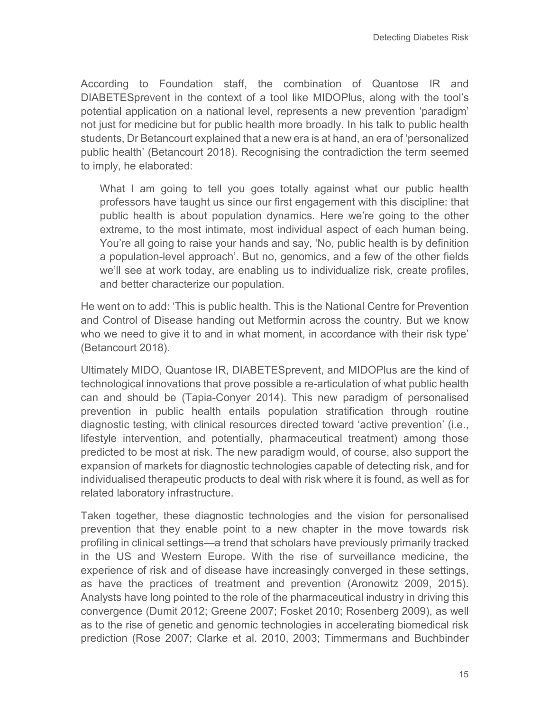According to Foundation staff, the combination of Quantose IR and DIABETESprevent in the context of a tool like MIDOPlus, along with the tool's potential application on a national level, represents a new prevention 'paradigm' not just for medicine but for public health more broadly. In his talk to public health students, Dr Betancourt explained that a new era is at hand, an era of 'personalized public health' (Betancourt 2018). Recognising the contradiction the term seemed to imply, he elaborated:

What I am going to tell you goes totally against what our public health professors have taught us since our first engagement with this discipline: that public health is about population dynamics. Here we're going to the other extreme, to the most intimate, most individual aspect of each human being. You're all going to raise your hands and say, 'No, public health is by definition a population-level approach'. But no, genomics, and a few of the other fields we'll see at work today, are enabling us to individualize risk, create profiles, and better characterize our population.

He went on to add: 'This is public health. This is the National Centre for Prevention and Control of Disease handing out Metformin across the country. But we know who we need to give it to and in what moment, in accordance with their risk type' (Betancourt 2018).

Ultimately MIDO, Quantose IR, DIABETESprevent, and MIDOPlus are the kind of technological innovations that prove possible a re-articulation of what public health can and should be (Tapia-Conyer 2014). This new paradigm of personalised prevention in public health entails population stratification through routine diagnostic testing, with clinical resources directed toward 'active prevention' (i.e., lifestyle intervention, and potentially, pharmaceutical treatment) among those predicted to be most at risk. The new paradigm would, of course, also support the expansion of markets for diagnostic technologies capable of detecting risk, and for individualised therapeutic products to deal with risk where it is found, as well as for related laboratory infrastructure.

Taken together, these diagnostic technologies and the vision for personalised prevention that they enable point to a new chapter in the move towards risk profiling in clinical settings—a trend that scholars have previously primarily tracked in the US and Western Europe. With the rise of surveillance medicine, the experience of risk and of disease have increasingly converged in these settings, as have the practices of treatment and prevention (Aronowitz 2009, 2015). Analysts have long pointed to the role of the pharmaceutical industry in driving this convergence (Dumit 2012; Greene 2007; Fosket 2010; Rosenberg 2009), as well as to the rise of genetic and genomic technologies in accelerating biomedical risk prediction (Rose 2007; Clarke et al. 2010, 2003; Timmermans and Buchbinder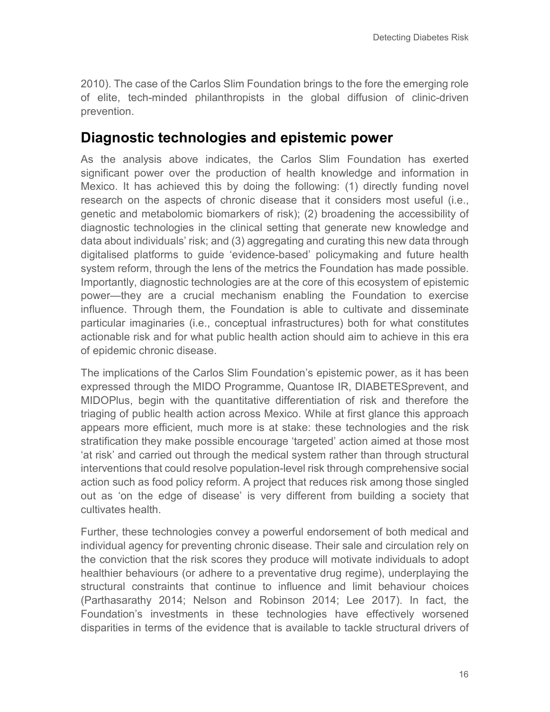2010). The case of the Carlos Slim Foundation brings to the fore the emerging role of elite, tech-minded philanthropists in the global diffusion of clinic-driven prevention.

### **Diagnostic technologies and epistemic power**

As the analysis above indicates, the Carlos Slim Foundation has exerted significant power over the production of health knowledge and information in Mexico. It has achieved this by doing the following: (1) directly funding novel research on the aspects of chronic disease that it considers most useful (i.e., genetic and metabolomic biomarkers of risk); (2) broadening the accessibility of diagnostic technologies in the clinical setting that generate new knowledge and data about individuals' risk; and (3) aggregating and curating this new data through digitalised platforms to guide 'evidence-based' policymaking and future health system reform, through the lens of the metrics the Foundation has made possible. Importantly, diagnostic technologies are at the core of this ecosystem of epistemic power—they are a crucial mechanism enabling the Foundation to exercise influence. Through them, the Foundation is able to cultivate and disseminate particular imaginaries (i.e., conceptual infrastructures) both for what constitutes actionable risk and for what public health action should aim to achieve in this era of epidemic chronic disease.

The implications of the Carlos Slim Foundation's epistemic power, as it has been expressed through the MIDO Programme, Quantose IR, DIABETESprevent, and MIDOPlus, begin with the quantitative differentiation of risk and therefore the triaging of public health action across Mexico. While at first glance this approach appears more efficient, much more is at stake: these technologies and the risk stratification they make possible encourage 'targeted' action aimed at those most 'at risk' and carried out through the medical system rather than through structural interventions that could resolve population-level risk through comprehensive social action such as food policy reform. A project that reduces risk among those singled out as 'on the edge of disease' is very different from building a society that cultivates health.

Further, these technologies convey a powerful endorsement of both medical and individual agency for preventing chronic disease. Their sale and circulation rely on the conviction that the risk scores they produce will motivate individuals to adopt healthier behaviours (or adhere to a preventative drug regime), underplaying the structural constraints that continue to influence and limit behaviour choices (Parthasarathy 2014; Nelson and Robinson 2014; Lee 2017). In fact, the Foundation's investments in these technologies have effectively worsened disparities in terms of the evidence that is available to tackle structural drivers of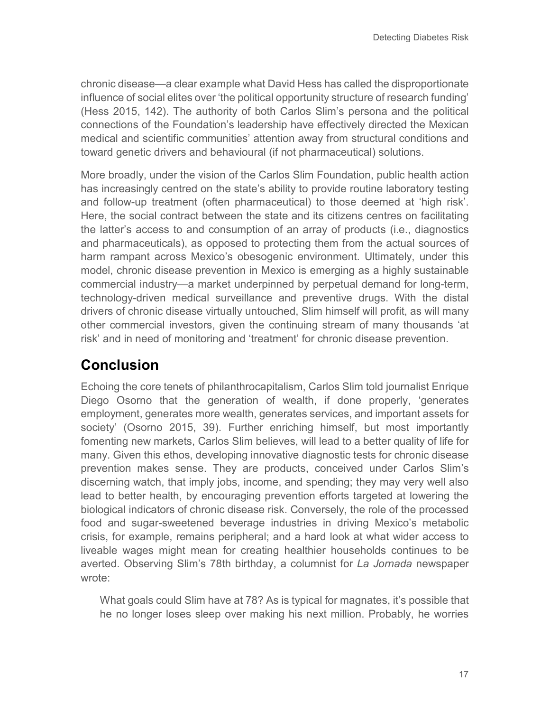chronic disease—a clear example what David Hess has called the disproportionate influence of social elites over 'the political opportunity structure of research funding' (Hess 2015, 142). The authority of both Carlos Slim's persona and the political connections of the Foundation's leadership have effectively directed the Mexican medical and scientific communities' attention away from structural conditions and toward genetic drivers and behavioural (if not pharmaceutical) solutions.

More broadly, under the vision of the Carlos Slim Foundation, public health action has increasingly centred on the state's ability to provide routine laboratory testing and follow-up treatment (often pharmaceutical) to those deemed at 'high risk'. Here, the social contract between the state and its citizens centres on facilitating the latter's access to and consumption of an array of products (i.e., diagnostics and pharmaceuticals), as opposed to protecting them from the actual sources of harm rampant across Mexico's obesogenic environment. Ultimately, under this model, chronic disease prevention in Mexico is emerging as a highly sustainable commercial industry—a market underpinned by perpetual demand for long-term, technology-driven medical surveillance and preventive drugs. With the distal drivers of chronic disease virtually untouched, Slim himself will profit, as will many other commercial investors, given the continuing stream of many thousands 'at risk' and in need of monitoring and 'treatment' for chronic disease prevention.

## **Conclusion**

Echoing the core tenets of philanthrocapitalism, Carlos Slim told journalist Enrique Diego Osorno that the generation of wealth, if done properly, 'generates employment, generates more wealth, generates services, and important assets for society' (Osorno 2015, 39). Further enriching himself, but most importantly fomenting new markets, Carlos Slim believes, will lead to a better quality of life for many. Given this ethos, developing innovative diagnostic tests for chronic disease prevention makes sense. They are products, conceived under Carlos Slim's discerning watch, that imply jobs, income, and spending; they may very well also lead to better health, by encouraging prevention efforts targeted at lowering the biological indicators of chronic disease risk. Conversely, the role of the processed food and sugar-sweetened beverage industries in driving Mexico's metabolic crisis, for example, remains peripheral; and a hard look at what wider access to liveable wages might mean for creating healthier households continues to be averted. Observing Slim's 78th birthday, a columnist for *La Jornada* newspaper wrote:

What goals could Slim have at 78? As is typical for magnates, it's possible that he no longer loses sleep over making his next million. Probably, he worries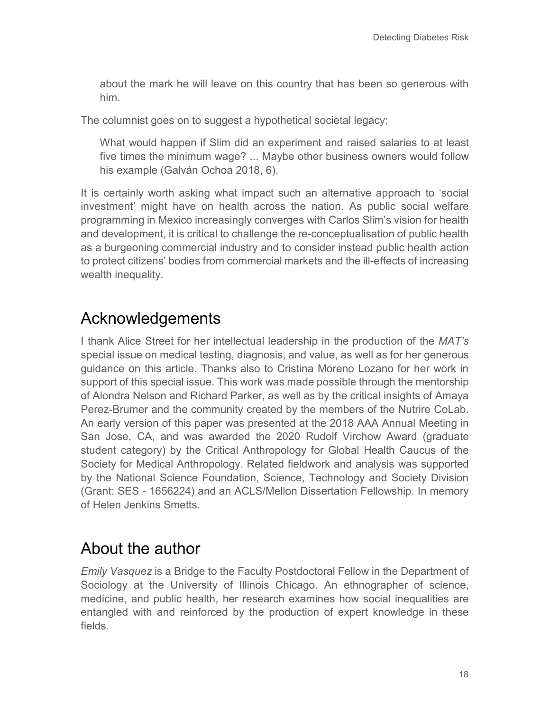about the mark he will leave on this country that has been so generous with him.

The columnist goes on to suggest a hypothetical societal legacy:

What would happen if Slim did an experiment and raised salaries to at least five times the minimum wage? ... Maybe other business owners would follow his example (Galván Ochoa 2018, 6).

It is certainly worth asking what impact such an alternative approach to 'social investment' might have on health across the nation. As public social welfare programming in Mexico increasingly converges with Carlos Slim's vision for health and development, it is critical to challenge the re-conceptualisation of public health as a burgeoning commercial industry and to consider instead public health action to protect citizens' bodies from commercial markets and the ill-effects of increasing wealth inequality.

## Acknowledgements

I thank Alice Street for her intellectual leadership in the production of the *MAT's* special issue on medical testing, diagnosis, and value, as well as for her generous guidance on this article. Thanks also to Cristina Moreno Lozano for her work in support of this special issue. This work was made possible through the mentorship of Alondra Nelson and Richard Parker, as well as by the critical insights of Amaya Perez-Brumer and the community created by the members of the Nutrire CoLab. An early version of this paper was presented at the 2018 AAA Annual Meeting in San Jose, CA, and was awarded the 2020 Rudolf Virchow Award (graduate student category) by the Critical Anthropology for Global Health Caucus of the Society for Medical Anthropology. Related fieldwork and analysis was supported by the National Science Foundation, Science, Technology and Society Division (Grant: SES - 1656224) and an ACLS/Mellon Dissertation Fellowship. In memory of Helen Jenkins Smetts.

# About the author

*Emily Vasquez* is a Bridge to the Faculty Postdoctoral Fellow in the Department of Sociology at the University of Illinois Chicago. An ethnographer of science, medicine, and public health, her research examines how social inequalities are entangled with and reinforced by the production of expert knowledge in these fields.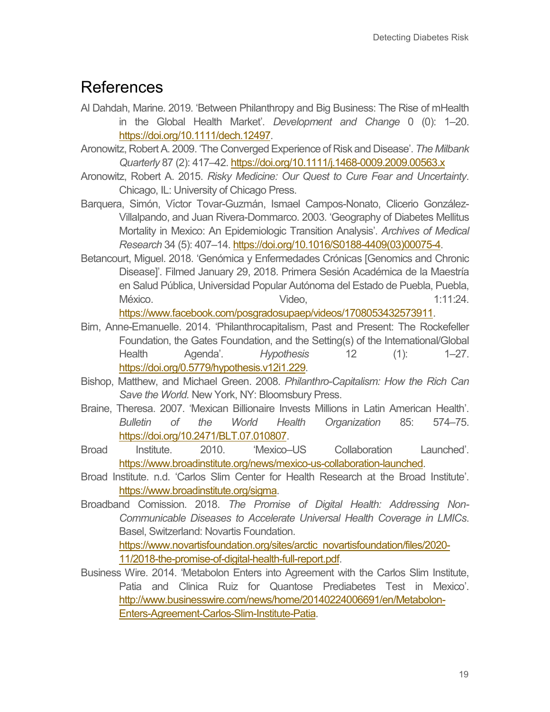## References

- Al Dahdah, Marine. 2019. 'Between Philanthropy and Big Business: The Rise of mHealth in the Global Health Market'. *Development and Change* 0 (0): 1–20. [https://doi.org/10.1111/dech.12497.](https://doi.org/10.1111/dech.12497)
- Aronowitz, Robert A. 2009. 'The Converged Experience of Risk and Disease'. *The Milbank Quarterly* 87 (2): 417–42.<https://doi.org/10.1111/j.1468-0009.2009.00563.x>
- Aronowitz, Robert A. 2015. *Risky Medicine: Our Quest to Cure Fear and Uncertainty*. Chicago, IL: University of Chicago Press.
- Barquera, Simón, Víctor Tovar-Guzmán, Ismael Campos-Nonato, Clicerio González-Villalpando, and Juan Rivera-Dommarco. 2003. 'Geography of Diabetes Mellitus Mortality in Mexico: An Epidemiologic Transition Analysis'. *Archives of Medical Research* 34 (5): 407–14[. https://doi.org/10.1016/S0188-4409\(03\)00075-4.](https://doi.org/10.1016/S0188-4409(03)00075-4)
- Betancourt, Miguel. 2018. 'Genómica y Enfermedades Crónicas [Genomics and Chronic Disease]'. Filmed January 29, 2018. Primera Sesión Académica de la Maestría en Salud Pública, Universidad Popular Autónoma del Estado de Puebla, Puebla, México. Video, 1:11:24. [https://www.facebook.com/posgradosupaep/videos/1708053432573911.](https://www.facebook.com/posgradosupaep/videos/1708053432573911)

Birn, Anne-Emanuelle. 2014. 'Philanthrocapitalism, Past and Present: The Rockefeller Foundation, the Gates Foundation, and the Setting(s) of the International/Global Health Agenda'. *Hypothesis* 12 (1): 1–27.

[https://doi.org/0.5779/hypothesis.v12i1.229.](https://doi.org/0.5779/hypothesis.v12i1.229)

- Bishop, Matthew, and Michael Green. 2008. *Philanthro-Capitalism: How the Rich Can Save the World.* New York, NY: Bloomsbury Press.
- Braine, Theresa. 2007. 'Mexican Billionaire Invests Millions in Latin American Health'. *Bulletin of the World Health Organization* 85: 574–75. [https://doi.org/10.2471/BLT.07.010807.](https://doi.org/10.2471/BLT.07.010807)
- Broad Institute. 2010. 'Mexico–US Collaboration Launched'. [https://www.broadinstitute.org/news/mexico-us-collaboration-launched.](https://www.broadinstitute.org/news/mexico-us-collaboration-launched)
- Broad Institute. n.d. 'Carlos Slim Center for Health Research at the Broad Institute'. [https://www.broadinstitute.org/sigma.](https://www.broadinstitute.org/sigma)
- Broadband Comission. 2018. *The Promise of Digital Health: Addressing Non-Communicable Diseases to Accelerate Universal Health Coverage in LMICs*. Basel, Switzerland: Novartis Foundation. [https://www.novartisfoundation.org/sites/arctic\\_novartisfoundation/files/2020-](https://www.novartisfoundation.org/sites/arctic_novartisfoundation/files/2020-11/2018-the-promise-of-digital-health-full-report.pdf) [11/2018-the-promise-of-digital-health-full-report.pdf.](https://www.novartisfoundation.org/sites/arctic_novartisfoundation/files/2020-11/2018-the-promise-of-digital-health-full-report.pdf)
- Business Wire. 2014. 'Metabolon Enters into Agreement with the Carlos Slim Institute, Patia and Clinica Ruiz for Quantose Prediabetes Test in Mexico'. [http://www.businesswire.com/news/home/20140224006691/en/Metabolon-](http://www.businesswire.com/news/home/20140224006691/en/Metabolon-Enters-Agreement-Carlos-Slim-Institute-Patia)[Enters-Agreement-Carlos-Slim-Institute-Patia.](http://www.businesswire.com/news/home/20140224006691/en/Metabolon-Enters-Agreement-Carlos-Slim-Institute-Patia)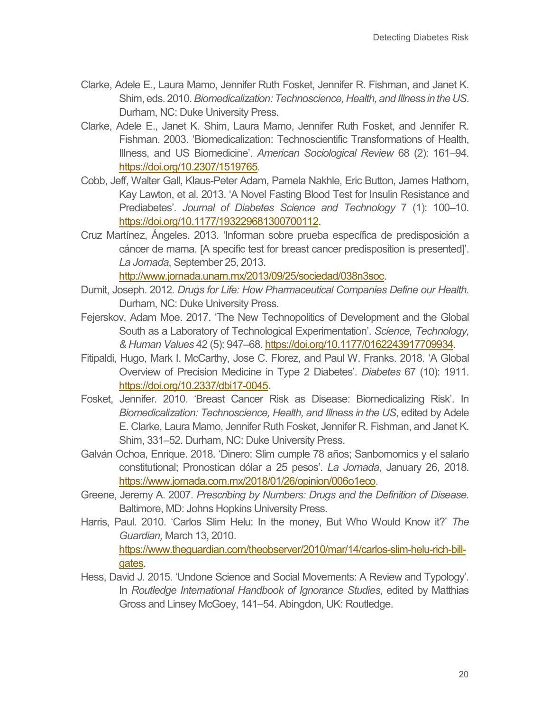- Clarke, Adele E., Laura Mamo, Jennifer Ruth Fosket, Jennifer R. Fishman, and Janet K. Shim, eds. 2010. *Biomedicalization: Technoscience, Health, and Illness in the US*. Durham, NC: Duke University Press.
- Clarke, Adele E., Janet K. Shim, Laura Mamo, Jennifer Ruth Fosket, and Jennifer R. Fishman. 2003. 'Biomedicalization: Technoscientific Transformations of Health, Illness, and US Biomedicine'. *American Sociological Review* 68 (2): 161–94. [https://doi.org/10.2307/1519765.](https://doi.org/10.2307/1519765)
- Cobb, Jeff, Walter Gall, Klaus-Peter Adam, Pamela Nakhle, Eric Button, James Hathorn, Kay Lawton, et al. 2013. 'A Novel Fasting Blood Test for Insulin Resistance and Prediabetes'. *Journal of Diabetes Science and Technology* 7 (1): 100–10. [https://doi.org/10.1177/193229681300700112.](https://doi.org/10.1177/193229681300700112)
- Cruz Martínez, Ángeles. 2013. 'Informan sobre prueba específica de predisposición a cáncer de mama. [A specific test for breast cancer predisposition is presented]'. *La Jornada*, September 25, 2013.

[http://www.jornada.unam.mx/2013/09/25/sociedad/038n3soc.](http://www.jornada.unam.mx/2013/09/25/sociedad/038n3soc)

- Dumit, Joseph. 2012. *Drugs for Life: How Pharmaceutical Companies Define our Health.* Durham, NC: Duke University Press.
- Fejerskov, Adam Moe. 2017. 'The New Technopolitics of Development and the Global South as a Laboratory of Technological Experimentation'. *Science, Technology, & Human Values* 42 (5): 947–68. [https://doi.org/10.1177/0162243917709934.](https://doi.org/10.1177/0162243917709934)
- Fitipaldi, Hugo, Mark I. McCarthy, Jose C. Florez, and Paul W. Franks. 2018. 'A Global Overview of Precision Medicine in Type 2 Diabetes'. *Diabetes* 67 (10): 1911. [https://doi.org/10.2337/dbi17-0045.](https://doi.org/10.2337/dbi17-0045)
- Fosket, Jennifer. 2010. 'Breast Cancer Risk as Disease: Biomedicalizing Risk'. In *Biomedicalization: Technoscience, Health, and Illness in the US*, edited by Adele E. Clarke, Laura Mamo, Jennifer Ruth Fosket, Jennifer R. Fishman, and Janet K. Shim, 331–52. Durham, NC: Duke University Press.
- Galván Ochoa, Enrique. 2018. 'Dinero: Slim cumple 78 años; Sanbornomics y el salario constitutional; Pronostican dólar a 25 pesos'. *La Jornada*, January 26, 2018. [https://www.jornada.com.mx/2018/01/26/opinion/006o1eco.](https://www.jornada.com.mx/2018/01/26/opinion/006o1eco)
- Greene, Jeremy A. 2007. *Prescribing by Numbers: Drugs and the Definition of Disease.* Baltimore, MD: Johns Hopkins University Press.
- Harris, Paul. 2010. 'Carlos Slim Helu: In the money, But Who Would Know it?' *The Guardian,* March 13, 2010. [https://www.theguardian.com/theobserver/2010/mar/14/carlos-slim-helu-rich-bill](https://www.theguardian.com/theobserver/2010/mar/14/carlos-slim-helu-rich-bill-gates)[gates.](https://www.theguardian.com/theobserver/2010/mar/14/carlos-slim-helu-rich-bill-gates)
- Hess, David J. 2015. 'Undone Science and Social Movements: A Review and Typology'. In *Routledge International Handbook of Ignorance Studies*, edited by Matthias Gross and Linsey McGoey, 141–54. Abingdon, UK: Routledge.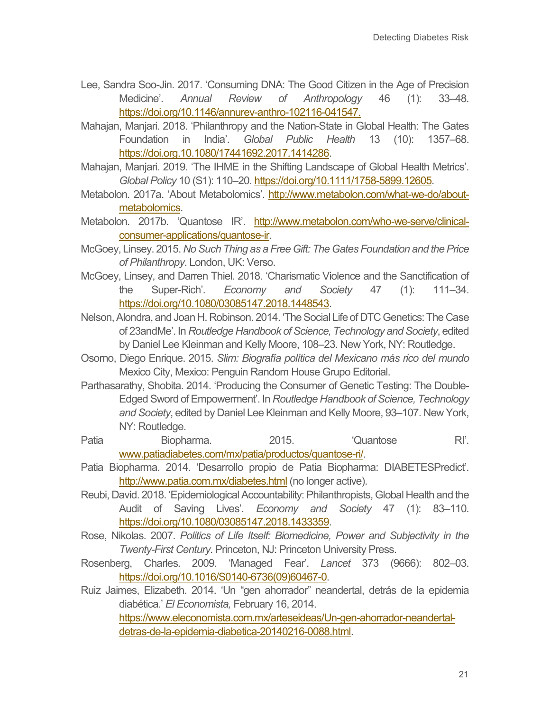- Lee, Sandra Soo-Jin. 2017. 'Consuming DNA: The Good Citizen in the Age of Precision Medicine'. *Annual Review of Anthropology* 46 (1): 33–48. [https://doi.org/10.1146/annurev-anthro-102116-041547.](https://doi.org/10.1146/annurev-anthro-102116-041547)
- Mahajan, Manjari. 2018. 'Philanthropy and the Nation-State in Global Health: The Gates Foundation in India'. *Global Public Health* 13 (10): 1357–68. [https://doi.org.10.1080/17441692.2017.1414286.](https://doi.org.10.1080/17441692.2017.1414286)
- Mahajan, Manjari. 2019. 'The IHME in the Shifting Landscape of Global Health Metrics'. *Global Policy* 10 (S1): 110–20. [https://doi.org/10.1111/1758-5899.12605.](https://doi.org/10.1111/1758-5899.12605)
- Metabolon. 2017a. 'About Metabolomics'. [http://www.metabolon.com/what-we-do/about](http://www.metabolon.com/what-we-do/about-metabolomics)[metabolomics.](http://www.metabolon.com/what-we-do/about-metabolomics)
- Metabolon. 2017b. 'Quantose IR'. [http://www.metabolon.com/who-we-serve/clinical](http://www.metabolon.com/who-we-serve/clinical-consumer-applications/quantose-ir)[consumer-applications/quantose-ir.](http://www.metabolon.com/who-we-serve/clinical-consumer-applications/quantose-ir)
- McGoey, Linsey. 2015. *No Such Thing as a Free Gift: The Gates Foundation and the Price of Philanthropy*. London, UK: Verso.
- McGoey, Linsey, and Darren Thiel. 2018. 'Charismatic Violence and the Sanctification of the Super-Rich'. *Economy and Society* 47 (1): 111–34. [https://doi.org/10.1080/03085147.2018.1448543.](https://doi.org/10.1080/03085147.2018.1448543)
- Nelson, Alondra, and Joan H. Robinson. 2014. 'The Social Life of DTC Genetics: The Case of 23andMe'. In *Routledge Handbook of Science, Technology and Society*, edited by Daniel Lee Kleinman and Kelly Moore, 108–23. New York, NY: Routledge.
- Osorno, Diego Enrique. 2015. *Slim: Biografía política del Mexicano más rico del mundo* Mexico City, Mexico: Penguin Random House Grupo Editorial.
- Parthasarathy, Shobita. 2014. 'Producing the Consumer of Genetic Testing: The Double-Edged Sword of Empowerment'. In *Routledge Handbook of Science, Technology and Society*, edited by Daniel Lee Kleinman and Kelly Moore, 93–107. New York, NY: Routledge.
- Patia Biopharma. 2015. 'Quantose RI'. [www.patiadiabetes.com/mx/patia/productos/quantose-ri/.](http://www.patiadiabetes.com/mx/patia/productos/quantose-ri/)
- Patia Biopharma. 2014. 'Desarrollo propio de Patia Biopharma: DIABETESPredict'. <http://www.patia.com.mx/diabetes.html> (no longer active).
- Reubi, David. 2018. 'Epidemiological Accountability: Philanthropists, Global Health and the Audit of Saving Lives'. *Economy and Society* 47 (1): 83–110. [https://doi.org/10.1080/03085147.2018.1433359.](https://doi.org/10.1080/03085147.2018.1433359)
- Rose, Nikolas. 2007. *Politics of Life Itself: Biomedicine, Power and Subjectivity in the Twenty-First Century*. Princeton, NJ: Princeton University Press.
- Rosenberg, Charles. 2009. 'Managed Fear'. *Lancet* 373 (9666): 802–03. [https://doi.org/10.1016/S0140-6736\(09\)60467-0.](https://doi-org.ezproxy.is.ed.ac.uk/10.1016/S0140-6736(09)60467-0)
- Ruiz Jaimes, Elizabeth. 2014. 'Un "gen ahorrador" neandertal, detrás de la epidemia diabética.' *El Economista,* February 16, 2014. [https://www.eleconomista.com.mx/arteseideas/Un-gen-ahorrador-neandertal](https://www.eleconomista.com.mx/arteseideas/Un-gen-ahorrador-neandertal-detras-de-la-epidemia-diabetica-20140216-0088.html)[detras-de-la-epidemia-diabetica-20140216-0088.html.](https://www.eleconomista.com.mx/arteseideas/Un-gen-ahorrador-neandertal-detras-de-la-epidemia-diabetica-20140216-0088.html)